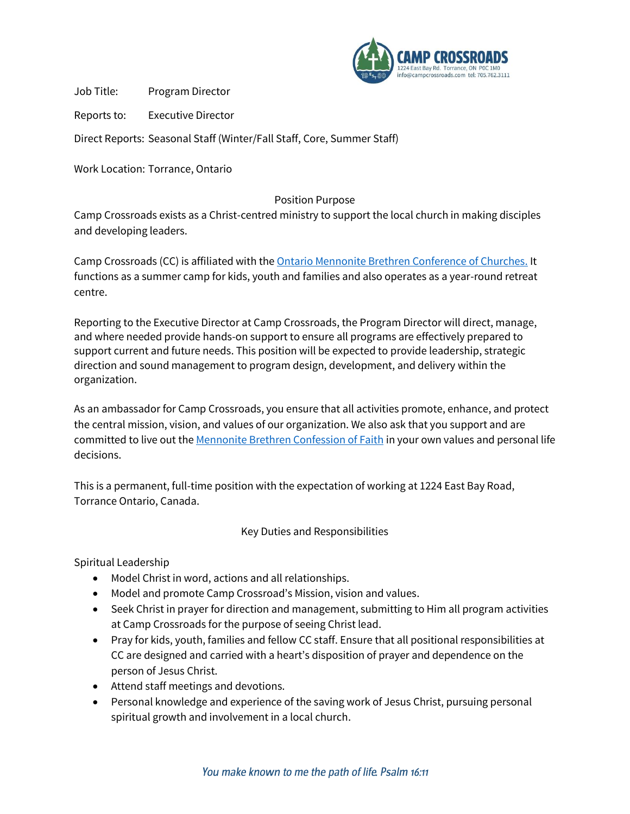

Job Title: Program Director

Reports to: Executive Director

Direct Reports: Seasonal Staff (Winter/Fall Staff, Core, Summer Staff)

Work Location: Torrance, Ontario

# Position Purpose

Camp Crossroads exists as a Christ-centred ministry to support the local church in making disciples and developing leaders.

Camp Crossroads (CC) is affiliated with the [Ontario Mennonite Brethren Conference of Churches.](https://onmb.org/about/mb-confession-of-faith/) It functions as a summer camp for kids, youth and families and also operates as a year-round retreat centre.

Reporting to the Executive Director at Camp Crossroads, the Program Director will direct, manage, and where needed provide hands-on support to ensure all programs are effectively prepared to support current and future needs. This position will be expected to provide leadership, strategic direction and sound management to program design, development, and delivery within the organization.

As an ambassador for Camp Crossroads, you ensure that all activities promote, enhance, and protect the central mission, vision, and values of our organization. We also ask that you support and are committed to live out th[e Mennonite Brethren Confession of Faith](https://onmb.org/about/mb-confession-of-faith/) in your own values and personal life decisions.

This is a permanent, full-time position with the expectation of working at 1224 East Bay Road, Torrance Ontario, Canada.

Key Duties and Responsibilities

Spiritual Leadership

- Model Christ in word, actions and all relationships.
- Model and promote Camp Crossroad's Mission, vision and values.
- Seek Christ in prayer for direction and management, submitting to Him all program activities at Camp Crossroads for the purpose of seeing Christ lead.
- Pray for kids, youth, families and fellow CC staff. Ensure that all positional responsibilities at CC are designed and carried with a heart's disposition of prayer and dependence on the person of Jesus Christ.
- Attend staff meetings and devotions.
- Personal knowledge and experience of the saving work of Jesus Christ, pursuing personal spiritual growth and involvement in a local church.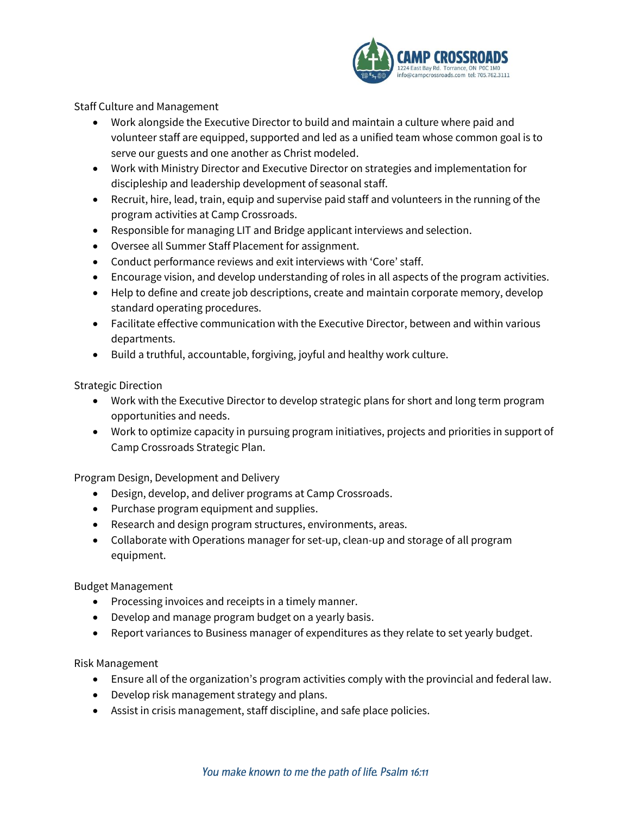

Staff Culture and Management

- Work alongside the Executive Director to build and maintain a culture where paid and volunteer staff are equipped, supported and led as a unified team whose common goal is to serve our guests and one another as Christ modeled.
- Work with Ministry Director and Executive Director on strategies and implementation for discipleship and leadership development of seasonal staff.
- Recruit, hire, lead, train, equip and supervise paid staff and volunteers in the running of the program activities at Camp Crossroads.
- Responsible for managing LIT and Bridge applicant interviews and selection.
- Oversee all Summer Staff Placement for assignment.
- Conduct performance reviews and exit interviews with 'Core' staff.
- Encourage vision, and develop understanding of roles in all aspects of the program activities.
- Help to define and create job descriptions, create and maintain corporate memory, develop standard operating procedures.
- Facilitate effective communication with the Executive Director, between and within various departments.
- Build a truthful, accountable, forgiving, joyful and healthy work culture.

Strategic Direction

- Work with the Executive Director to develop strategic plans for short and long term program opportunities and needs.
- Work to optimize capacity in pursuing program initiatives, projects and priorities in support of Camp Crossroads Strategic Plan.

Program Design, Development and Delivery

- Design, develop, and deliver programs at Camp Crossroads.
- Purchase program equipment and supplies.
- Research and design program structures, environments, areas.
- Collaborate with Operations manager for set-up, clean-up and storage of all program equipment.

Budget Management

- Processing invoices and receipts in a timely manner.
- Develop and manage program budget on a yearly basis.
- Report variances to Business manager of expenditures as they relate to set yearly budget.

Risk Management

- Ensure all of the organization's program activities comply with the provincial and federal law.
- Develop risk management strategy and plans.
- Assist in crisis management, staff discipline, and safe place policies.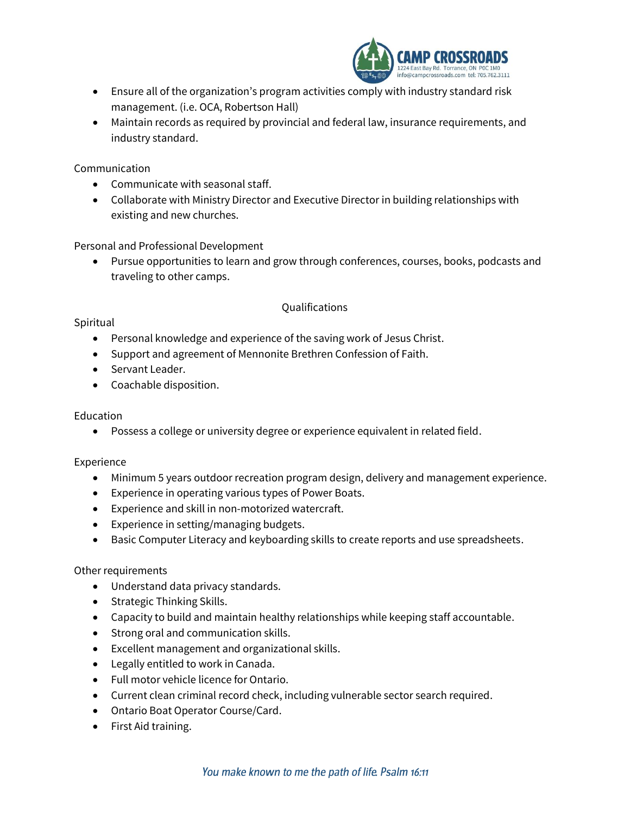

- Ensure all of the organization's program activities comply with industry standard risk management. (i.e. OCA, Robertson Hall)
- Maintain records as required by provincial and federal law, insurance requirements, and industry standard.

Communication

- Communicate with seasonal staff.
- Collaborate with Ministry Director and Executive Director in building relationships with existing and new churches.

Personal and Professional Development

 Pursue opportunities to learn and grow through conferences, courses, books, podcasts and traveling to other camps.

### Qualifications

#### Spiritual

- Personal knowledge and experience of the saving work of Jesus Christ.
- Support and agreement of Mennonite Brethren Confession of Faith.
- Servant Leader.
- Coachable disposition.

#### **Education**

Possess a college or university degree or experience equivalent in related field.

#### Experience

- Minimum 5 years outdoor recreation program design, delivery and management experience.
- Experience in operating various types of Power Boats.
- Experience and skill in non-motorized watercraft.
- Experience in setting/managing budgets.
- Basic Computer Literacy and keyboarding skills to create reports and use spreadsheets.

#### Other requirements

- Understand data privacy standards.
- Strategic Thinking Skills.
- Capacity to build and maintain healthy relationships while keeping staff accountable.
- Strong oral and communication skills.
- Excellent management and organizational skills.
- Legally entitled to work in Canada.
- Full motor vehicle licence for Ontario.
- Current clean criminal record check, including vulnerable sector search required.
- Ontario Boat Operator Course/Card.
- First Aid training.